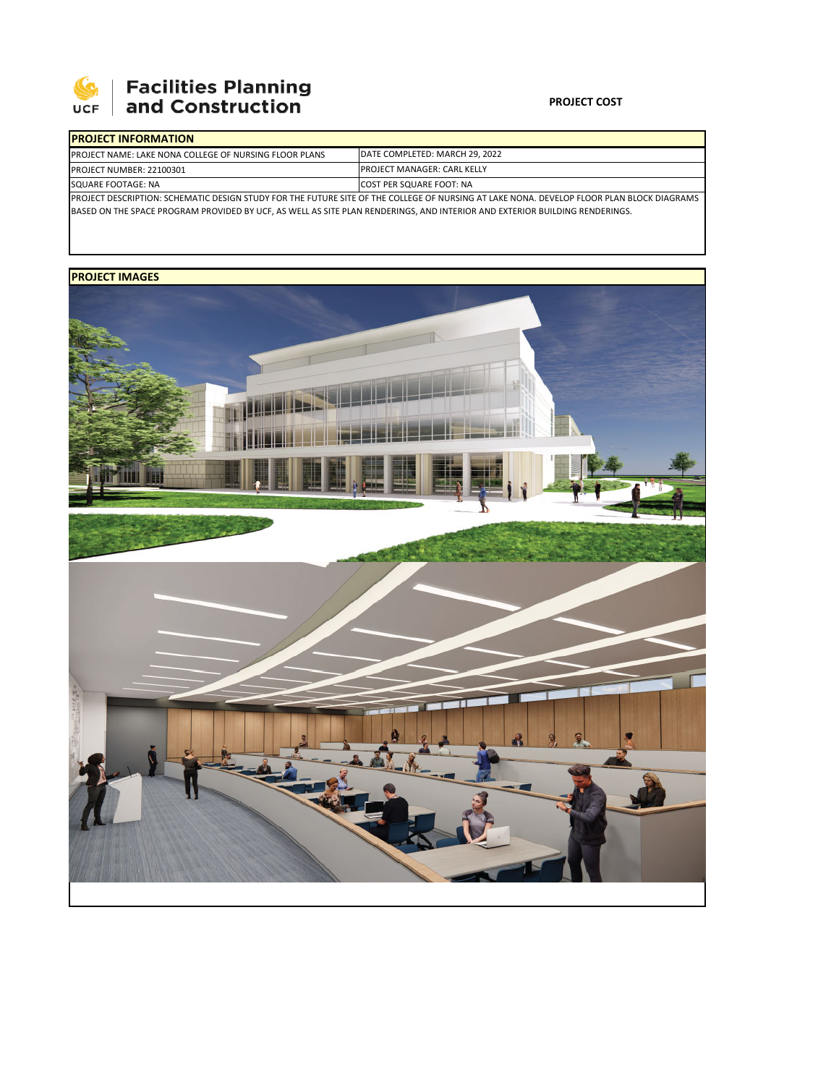

## **Facilities Planning<br>and Construction**

## **PROJECT COST**

| <b>IPROJECT INFORMATION</b>                                                                                                               |                                     |  |  |  |  |
|-------------------------------------------------------------------------------------------------------------------------------------------|-------------------------------------|--|--|--|--|
| <b>IPROJECT NAME: LAKE NONA COLLEGE OF NURSING FLOOR PLANS</b>                                                                            | DATE COMPLETED: MARCH 29, 2022      |  |  |  |  |
| <b>PROJECT NUMBER: 22100301</b>                                                                                                           | <b>IPROJECT MANAGER: CARL KELLY</b> |  |  |  |  |
| SQUARE FOOTAGE: NA                                                                                                                        | <b>ICOST PER SQUARE FOOT: NA</b>    |  |  |  |  |
| PROJECT DESCRIPTION: SCHEMATIC DESIGN STUDY FOR THE FUTURE SITE OF THE COLLEGE OF NURSING AT LAKE NONA. DEVELOP FLOOR PLAN BLOCK DIAGRAMS |                                     |  |  |  |  |
| BASED ON THE SPACE PROGRAM PROVIDED BY UCF, AS WELL AS SITE PLAN RENDERINGS, AND INTERIOR AND EXTERIOR BUILDING RENDERINGS.               |                                     |  |  |  |  |

## **PROJECT IMAGES**